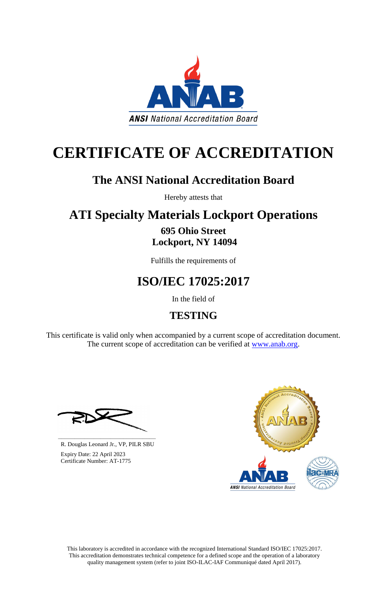This laboratory is accredited in accordance with the recognized International Standard ISO/IEC 17025:2017. This accreditation demonstrates technical competence for a defined scope and the operation of a laboratory quality management system (refer to joint ISO-ILAC-IAF Communiqué dated April 2017).



## **CERTIFICATE OF ACCREDITATION**

## **The ANSI National Accreditation Board**

Hereby attests that

# **ATI Specialty Materials Lockport Operations**

### **695 Ohio Street Lockport, NY 14094**

Fulfills the requirements of

## **ISO/IEC 17025:2017**

In the field of

### **TESTING**

This certificate is valid only when accompanied by a current scope of accreditation document. The current scope of accreditation can be verified at [www.anab.org.](http://www.anab.org/)





R. Douglas Leonard Jr., VP, PILR SBU

 Expiry Date: 22 April 2023 Certificate Number: AT-1775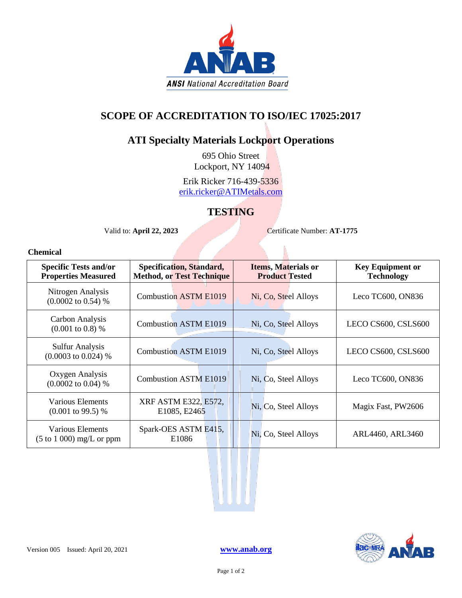

### **SCOPE OF ACCREDITATION TO ISO/IEC 17025:2017**

#### **ATI Specialty Materials Lockport Operations**

695 Ohio Street Lockport, NY 14094

Erik Ricker 716-439-5336 [erik.ricker@ATIMetals.com](mailto:erik.ricker@ATIMetals.com)

#### **TESTING**

Valid to: **April 22, 2023** Certificate Number: **AT-1775** 

#### **Chemical**

| <b>Specific Tests and/or</b><br><b>Properties Measured</b>     | <b>Specification, Standard,</b><br><b>Method, or Test Technique</b> | <b>Items, Materials or</b><br><b>Product Tested</b> | <b>Key Equipment or</b><br><b>Technology</b> |
|----------------------------------------------------------------|---------------------------------------------------------------------|-----------------------------------------------------|----------------------------------------------|
| Nitrogen Analysis<br>$(0.0002 \text{ to } 0.54)$ %             | <b>Combustion ASTM E1019</b>                                        | Ni, Co, Steel Alloys                                | Leco TC600, ON836                            |
| Carbon Analysis<br>$(0.001 \text{ to } 0.8)$ %                 | <b>Combustion ASTM E1019</b>                                        | Ni, Co, Steel Alloys                                | LECO CS600, CSLS600                          |
| <b>Sulfur Analysis</b><br>$(0.0003 \text{ to } 0.024)$ %       | <b>Combustion ASTM E1019</b>                                        | Ni, Co, Steel Alloys                                | LECO CS600, CSLS600                          |
| Oxygen Analysis<br>$(0.0002 \text{ to } 0.04)$ %               | <b>Combustion ASTM E1019</b>                                        | Ni, Co, Steel Alloys                                | Leco TC600, ON836                            |
| Various Elements<br>$(0.001 \text{ to } 99.5)$ %               | XRF ASTM E322, E572,<br>E1085, E2465                                | Ni, Co, Steel Alloys                                | Magix Fast, PW2606                           |
| Various Elements<br>$(5 \text{ to } 1000) \text{ mg/L or ppm}$ | Spark-OES ASTM E415,<br>E <sub>1086</sub>                           | Ni, Co, Steel Alloys                                | ARL4460, ARL3460                             |